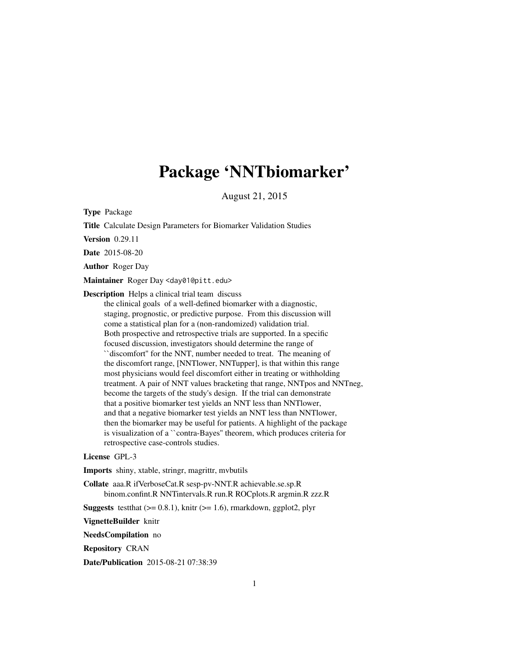## Package 'NNTbiomarker'

August 21, 2015

Type Package

Title Calculate Design Parameters for Biomarker Validation Studies

Version 0.29.11

Date 2015-08-20

Author Roger Day

Maintainer Roger Day <day01@pitt.edu>

Description Helps a clinical trial team discuss

the clinical goals of a well-defined biomarker with a diagnostic, staging, prognostic, or predictive purpose. From this discussion will come a statistical plan for a (non-randomized) validation trial. Both prospective and retrospective trials are supported. In a specific focused discussion, investigators should determine the range of ``discomfort'' for the NNT, number needed to treat. The meaning of the discomfort range, [NNTlower, NNTupper], is that within this range most physicians would feel discomfort either in treating or withholding treatment. A pair of NNT values bracketing that range, NNTpos and NNTneg, become the targets of the study's design. If the trial can demonstrate that a positive biomarker test yields an NNT less than NNTlower, and that a negative biomarker test yields an NNT less than NNTlower, then the biomarker may be useful for patients. A highlight of the package is visualization of a ``contra-Bayes'' theorem, which produces criteria for retrospective case-controls studies.

#### License GPL-3

Imports shiny, xtable, stringr, magrittr, mvbutils

Collate aaa.R ifVerboseCat.R sesp-pv-NNT.R achievable.se.sp.R binom.confint.R NNTintervals.R run.R ROCplots.R argmin.R zzz.R

**Suggests** test that  $(>= 0.8.1)$ , knitr  $(>= 1.6)$ , rmarkdown, ggplot2, plyr

VignetteBuilder knitr

NeedsCompilation no

Repository CRAN

Date/Publication 2015-08-21 07:38:39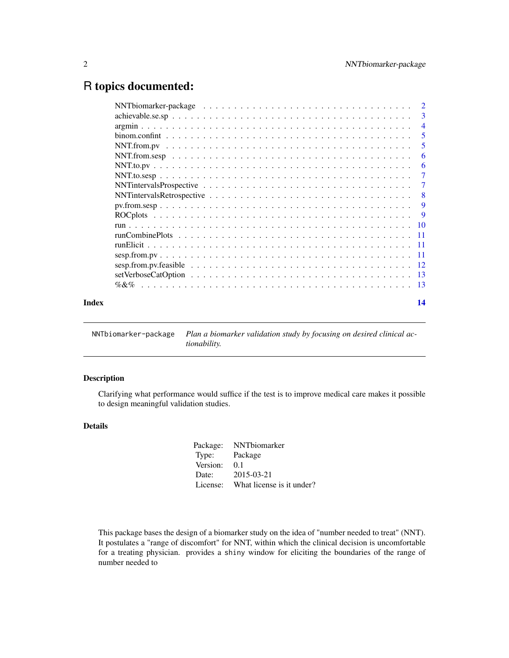### <span id="page-1-0"></span>R topics documented:

|       | $\overline{4}$                                                                                                                                          |   |
|-------|---------------------------------------------------------------------------------------------------------------------------------------------------------|---|
|       | 5                                                                                                                                                       |   |
|       | -5                                                                                                                                                      |   |
|       | $NNT.$ from $\text{sesp}$ $\ldots$ $\ldots$ $\ldots$ $\ldots$ $\ldots$ $\ldots$ $\ldots$ $\ldots$ $\ldots$ $\ldots$ $\ldots$ $\ldots$ $\ldots$ $\ldots$ | 6 |
|       |                                                                                                                                                         | 6 |
|       | $\overline{7}$                                                                                                                                          |   |
|       | -7                                                                                                                                                      |   |
|       | -8                                                                                                                                                      |   |
|       | -9                                                                                                                                                      |   |
|       | $\overline{9}$                                                                                                                                          |   |
|       |                                                                                                                                                         |   |
|       |                                                                                                                                                         |   |
|       |                                                                                                                                                         |   |
|       |                                                                                                                                                         |   |
|       |                                                                                                                                                         |   |
|       |                                                                                                                                                         |   |
|       |                                                                                                                                                         |   |
| Index | 14                                                                                                                                                      |   |
|       |                                                                                                                                                         |   |

NNTbiomarker-package *Plan a biomarker validation study by focusing on desired clinical actionability.*

#### Description

Clarifying what performance would suffice if the test is to improve medical care makes it possible to design meaningful validation studies.

#### Details

| NNTbiomarker              |
|---------------------------|
| Package                   |
| 0.1                       |
| 2015-03-21                |
| What license is it under? |
|                           |

This package bases the design of a biomarker study on the idea of "number needed to treat" (NNT). It postulates a "range of discomfort" for NNT, within which the clinical decision is uncomfortable for a treating physician. provides a shiny window for eliciting the boundaries of the range of number needed to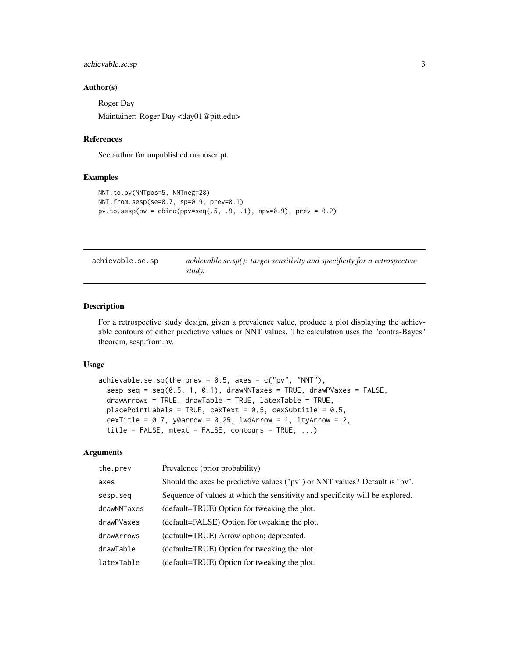#### <span id="page-2-0"></span>achievable.se.sp 3

#### Author(s)

Roger Day Maintainer: Roger Day <day01@pitt.edu>

#### References

See author for unpublished manuscript.

#### Examples

```
NNT.to.pv(NNTpos=5, NNTneg=28)
NNT.from.sesp(se=0.7, sp=0.9, prev=0.1)
pv. to. \text{sesp}(pv = \text{cbind}(ppv = \text{seq}(.5, .9, .1), npv = 0.9), prev = 0.2)
```

| achievable.se.sp | achievable.se.sp(): target sensitivity and specificity for a retrospective |
|------------------|----------------------------------------------------------------------------|
|                  | study.                                                                     |

#### Description

For a retrospective study design, given a prevalence value, produce a plot displaying the achievable contours of either predictive values or NNT values. The calculation uses the "contra-Bayes" theorem, sesp.from.pv.

#### Usage

```
achievable.se.sp(the.prev = 0.5, axes = c("pv", "NNT"),sesp.seq = seq(0.5, 1, 0.1), drawNNTaxes = TRUE, drawPVaxes = FALSE,drawArrows = TRUE, drawTable = TRUE, latexTable = TRUE,
 placePointLabels = TRUE, cexText = 0.5, cexSubtitle = 0.5,
 cexTitle = 0.7, y0arrow = 0.25, lwdArrow = 1, ltyArrow = 2,
 title = FALSE, metext = FALSE, contours = TRUE, ...
```
#### Arguments

| the.prev    | Prevalence (prior probability)                                                |
|-------------|-------------------------------------------------------------------------------|
| axes        | Should the axes be predictive values ("pv") or NNT values? Default is "pv".   |
| sesp.seq    | Sequence of values at which the sensitivity and specificity will be explored. |
| drawNNTaxes | (default=TRUE) Option for tweaking the plot.                                  |
| drawPVaxes  | (default=FALSE) Option for tweaking the plot.                                 |
| drawArrows  | (default=TRUE) Arrow option; deprecated.                                      |
| drawTable   | (default=TRUE) Option for tweaking the plot.                                  |
| latexTable  | (default=TRUE) Option for tweaking the plot.                                  |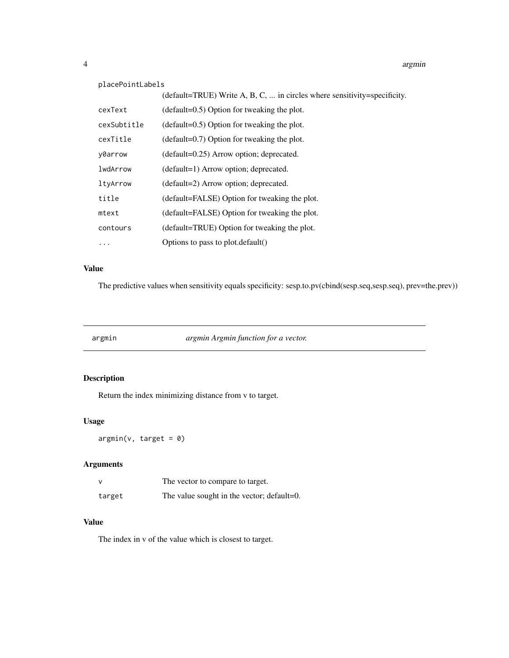#### <span id="page-3-0"></span>placePointLabels

|             | (default=TRUE) Write A, B, C,  in circles where sensitivity=specificity. |
|-------------|--------------------------------------------------------------------------|
| cexText     | $(detault=0.5)$ Option for tweaking the plot.                            |
| cexSubtitle | $(default=0.5)$ Option for tweaking the plot.                            |
| cexTitle    | $(detault=0.7)$ Option for tweaking the plot.                            |
| y0arrow     | $(default=0.25)$ Arrow option; deprecated.                               |
| lwdArrow    | (default=1) Arrow option; deprecated.                                    |
| ltyArrow    | (default=2) Arrow option; deprecated.                                    |
| title       | (default=FALSE) Option for tweaking the plot.                            |
| mtext       | (default=FALSE) Option for tweaking the plot.                            |
| contours    | (default=TRUE) Option for tweaking the plot.                             |
| .           | Options to pass to plot.default()                                        |

#### Value

The predictive values when sensitivity equals specificity: sesp.to.pv(cbind(sesp.seq,sesp.seq), prev=the.prev))

argmin *argmin Argmin function for a vector.*

#### Description

Return the index minimizing distance from v to target.

#### Usage

 $argmin(v, target = 0)$ 

#### Arguments

|        | The vector to compare to target.           |  |
|--------|--------------------------------------------|--|
| target | The value sought in the vector; default=0. |  |

#### Value

The index in v of the value which is closest to target.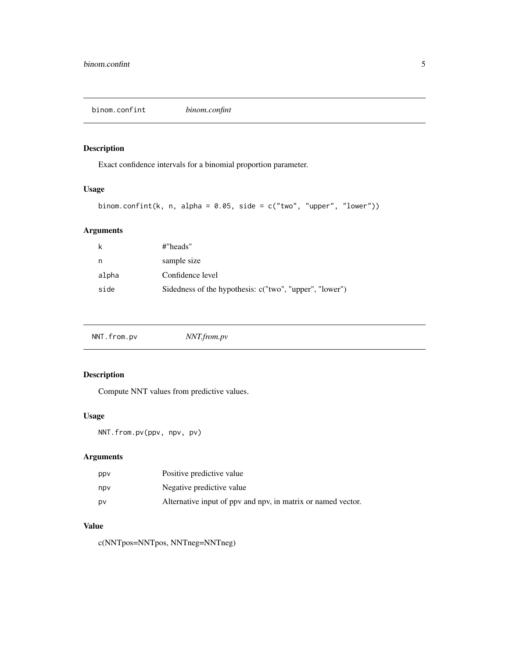<span id="page-4-0"></span>binom.confint *binom.confint*

#### Description

Exact confidence intervals for a binomial proportion parameter.

#### Usage

```
binom.confint(k, n, alpha = 0.05, side = c("two", "upper", "lower"))
```
#### Arguments

| k     | #"heads"                                                |
|-------|---------------------------------------------------------|
| n     | sample size                                             |
| alpha | Confidence level                                        |
| side  | Sidedness of the hypothesis: c("two", "upper", "lower") |

| NNT.from.pv | NNT.from.pv |
|-------------|-------------|
|-------------|-------------|

#### Description

Compute NNT values from predictive values.

#### Usage

```
NNT.from.pv(ppv, npv, pv)
```
#### Arguments

| ppy | Positive predictive value                                    |
|-----|--------------------------------------------------------------|
| npv | Negative predictive value                                    |
| DV  | Alternative input of ppv and npv, in matrix or named vector. |

#### Value

c(NNTpos=NNTpos, NNTneg=NNTneg)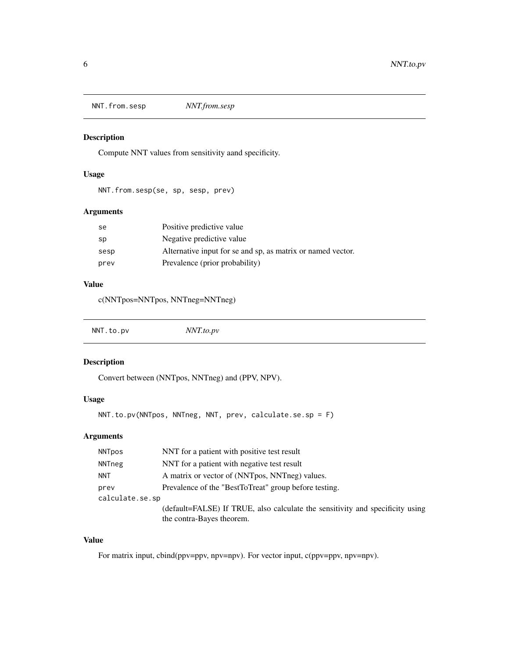<span id="page-5-0"></span>NNT.from.sesp *NNT.from.sesp*

#### Description

Compute NNT values from sensitivity aand specificity.

#### Usage

NNT.from.sesp(se, sp, sesp, prev)

#### Arguments

| se   | Positive predictive value                                   |
|------|-------------------------------------------------------------|
| sp   | Negative predictive value                                   |
| sesp | Alternative input for se and sp, as matrix or named vector. |
| prev | Prevalence (prior probability)                              |

#### Value

c(NNTpos=NNTpos, NNTneg=NNTneg)

| NNT.to.pv | NNT.to.pv |  |  |
|-----------|-----------|--|--|
|-----------|-----------|--|--|

#### Description

Convert between (NNTpos, NNTneg) and (PPV, NPV).

### Usage

```
NNT.to.pv(NNTpos, NNTneg, NNT, prev, calculate.se.sp = F)
```
#### Arguments

| <b>NNTpos</b>   | NNT for a patient with positive test result                                                                |
|-----------------|------------------------------------------------------------------------------------------------------------|
| NNTneg          | NNT for a patient with negative test result                                                                |
| NNT             | A matrix or vector of (NNTpos, NNTneg) values.                                                             |
| prev            | Prevalence of the "BestToTreat" group before testing.                                                      |
| calculate.se.sp |                                                                                                            |
|                 | (default=FALSE) If TRUE, also calculate the sensitivity and specificity using<br>the contra-Bayes theorem. |

#### Value

For matrix input, cbind(ppv=ppv, npv=npv). For vector input, c(ppv=ppv, npv=npv).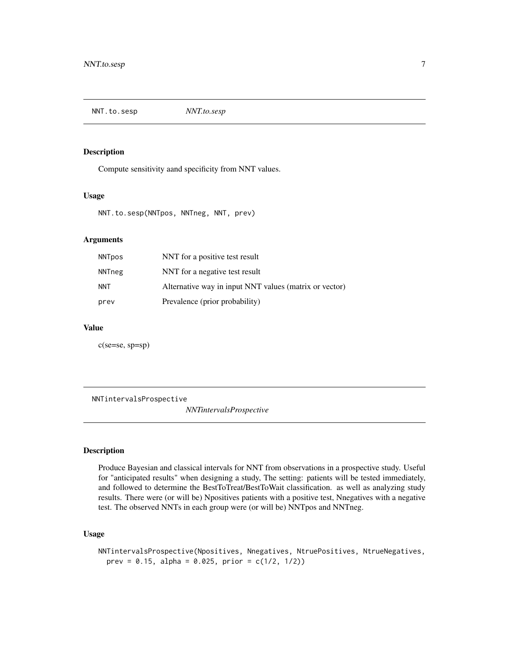<span id="page-6-0"></span>NNT.to.sesp *NNT.to.sesp*

#### Description

Compute sensitivity aand specificity from NNT values.

#### Usage

NNT.to.sesp(NNTpos, NNTneg, NNT, prev)

#### Arguments

| <b>NNTpos</b> | NNT for a positive test result                         |
|---------------|--------------------------------------------------------|
| NNTneg        | NNT for a negative test result                         |
| NNT           | Alternative way in input NNT values (matrix or vector) |
| prev          | Prevalence (prior probability)                         |

#### Value

c(se=se, sp=sp)

NNTintervalsProspective

*NNTintervalsProspective*

#### Description

Produce Bayesian and classical intervals for NNT from observations in a prospective study. Useful for "anticipated results" when designing a study, The setting: patients will be tested immediately, and followed to determine the BestToTreat/BestToWait classification. as well as analyzing study results. There were (or will be) Npositives patients with a positive test, Nnegatives with a negative test. The observed NNTs in each group were (or will be) NNTpos and NNTneg.

#### Usage

```
NNTintervalsProspective(Npositives, Nnegatives, NtruePositives, NtrueNegatives,
 prev = 0.15, alpha = 0.025, prior = c(1/2, 1/2))
```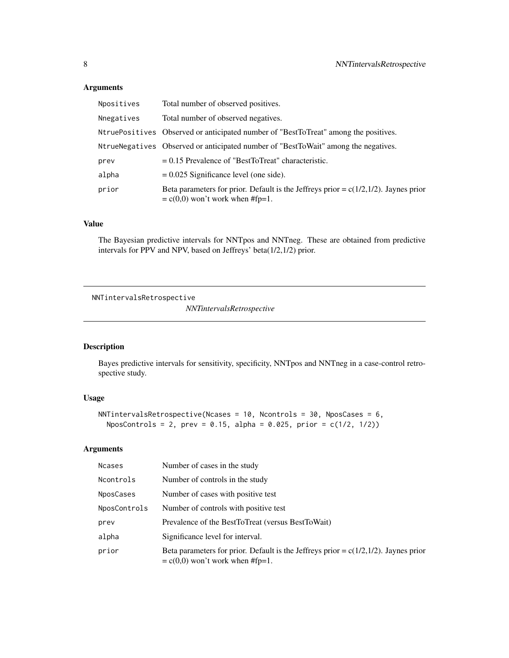#### <span id="page-7-0"></span>Arguments

| Npositives | Total number of observed positives.                                                                                         |
|------------|-----------------------------------------------------------------------------------------------------------------------------|
| Nnegatives | Total number of observed negatives.                                                                                         |
|            | NtruePositives Observed or anticipated number of "BestToTreat" among the positives.                                         |
|            | NtrueNegatives Observed or anticipated number of "BestToWait" among the negatives.                                          |
| prev       | $= 0.15$ Prevalence of "BestToTreat" characteristic.                                                                        |
| alpha      | $= 0.025$ Significance level (one side).                                                                                    |
| prior      | Beta parameters for prior. Default is the Jeffreys prior = $c(1/2,1/2)$ . Jaynes prior<br>$= c(0,0)$ won't work when #fp=1. |

#### Value

The Bayesian predictive intervals for NNTpos and NNTneg. These are obtained from predictive intervals for PPV and NPV, based on Jeffreys' beta(1/2,1/2) prior.

```
NNTintervalsRetrospective
```
*NNTintervalsRetrospective*

#### Description

Bayes predictive intervals for sensitivity, specificity, NNTpos and NNTneg in a case-control retrospective study.

#### Usage

```
NNTintervalsRetrospective(Ncases = 10, Ncontrols = 30, NposCases = 6,
 NposControls = 2, prev = 0.15, alpha = 0.025, prior = c(1/2, 1/2))
```
#### Arguments

| <b>Ncases</b> | Number of cases in the study                                                                                                |
|---------------|-----------------------------------------------------------------------------------------------------------------------------|
| Ncontrols     | Number of controls in the study                                                                                             |
| NposCases     | Number of cases with positive test                                                                                          |
| NposControls  | Number of controls with positive test                                                                                       |
| prev          | Prevalence of the BestToTreat (versus BestToWait)                                                                           |
| alpha         | Significance level for interval.                                                                                            |
| prior         | Beta parameters for prior. Default is the Jeffreys prior = $c(1/2,1/2)$ . Jaynes prior<br>$= c(0,0)$ won't work when #fp=1. |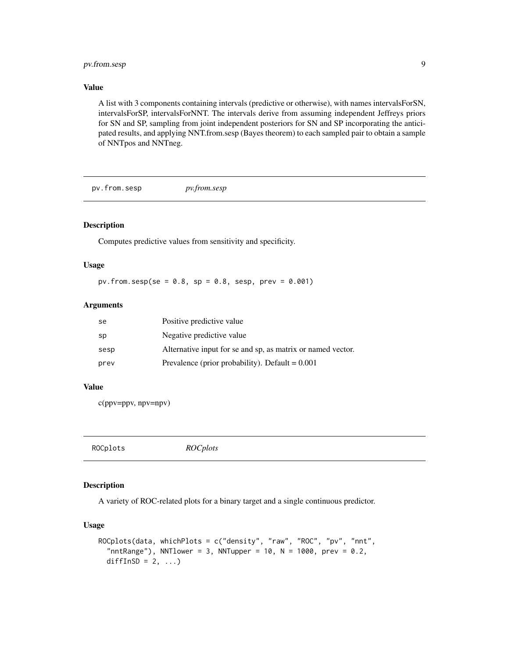#### <span id="page-8-0"></span>pv.from.sesp 9

#### Value

A list with 3 components containing intervals (predictive or otherwise), with names intervalsForSN, intervalsForSP, intervalsForNNT. The intervals derive from assuming independent Jeffreys priors for SN and SP, sampling from joint independent posteriors for SN and SP incorporating the anticipated results, and applying NNT.from.sesp (Bayes theorem) to each sampled pair to obtain a sample of NNTpos and NNTneg.

pv.from.sesp *pv.from.sesp*

#### Description

Computes predictive values from sensitivity and specificity.

#### Usage

pv.from.sesp(se =  $0.8$ , sp =  $0.8$ , sesp, prev =  $0.001$ )

#### Arguments

| se   | Positive predictive value                                   |
|------|-------------------------------------------------------------|
| sp   | Negative predictive value                                   |
| sesp | Alternative input for se and sp, as matrix or named vector. |
| prev | Prevalence (prior probability). Default $= 0.001$           |

#### Value

c(ppv=ppv, npv=npv)

ROCplots *ROCplots*

#### Description

A variety of ROC-related plots for a binary target and a single continuous predictor.

#### Usage

```
ROCplots(data, whichPlots = c("density", "raw", "ROC", "pv", "nnt",
  "nntRange"), NNTlower = 3, NNTupper = 10, N = 1000, prev = 0.2,
 diffInSD = 2, ...)
```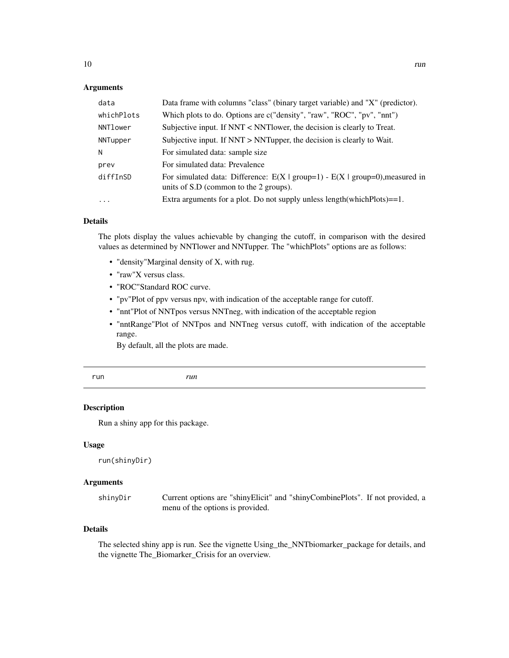#### <span id="page-9-0"></span>Arguments

| data                | Data frame with columns "class" (binary target variable) and "X" (predictor).                                             |
|---------------------|---------------------------------------------------------------------------------------------------------------------------|
| whichPlots          | Which plots to do. Options are c("density", "raw", "ROC", "pv", "nnt")                                                    |
| NNTlower            | Subjective input. If NNT < NNT lower, the decision is clearly to Treat.                                                   |
| NNTupper            | Subjective input. If NNT > NNTupper, the decision is clearly to Wait.                                                     |
| N                   | For simulated data: sample size                                                                                           |
| prev                | For simulated data: Prevalence                                                                                            |
| diffInSD            | For simulated data: Difference: $E(X   group=1) - E(X   group=0)$ , measured in<br>units of S.D (common to the 2 groups). |
| $\cdot \cdot \cdot$ | Extra arguments for a plot. Do not supply unless $length(whichPlots)=1$ .                                                 |

#### Details

The plots display the values achievable by changing the cutoff, in comparison with the desired values as determined by NNTlower and NNTupper. The "whichPlots" options are as follows:

- "density"Marginal density of X, with rug.
- "raw"X versus class.
- "ROC"Standard ROC curve.
- "pv"Plot of ppv versus npv, with indication of the acceptable range for cutoff.
- "nnt"Plot of NNTpos versus NNTneg, with indication of the acceptable region
- "nntRange"Plot of NNTpos and NNTneg versus cutoff, with indication of the acceptable range.

By default, all the plots are made.

```
run run
```
#### Description

Run a shiny app for this package.

#### Usage

```
run(shinyDir)
```
#### Arguments

| shinyDir | Current options are "shinyElicit" and "shinyCombinePlots". If not provided, a |  |
|----------|-------------------------------------------------------------------------------|--|
|          | menu of the options is provided.                                              |  |

#### Details

The selected shiny app is run. See the vignette Using\_the\_NNTbiomarker\_package for details, and the vignette The\_Biomarker\_Crisis for an overview.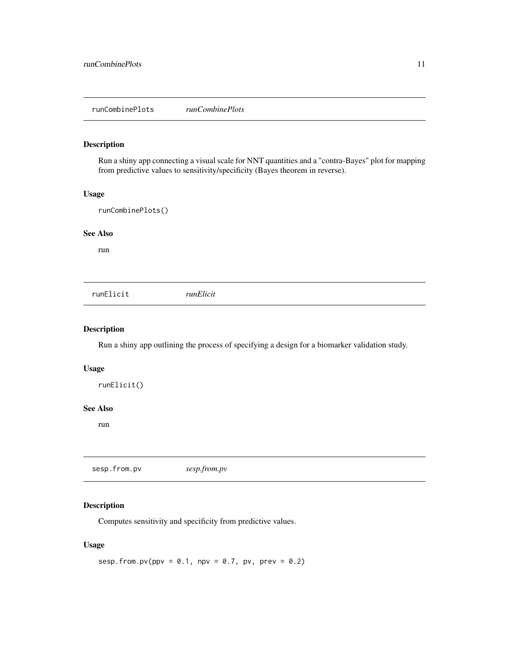#### <span id="page-10-0"></span>Description

Run a shiny app connecting a visual scale for NNT quantities and a "contra-Bayes" plot for mapping from predictive values to sensitivity/specificity (Bayes theorem in reverse).

#### Usage

runCombinePlots()

#### See Also

run

runElicit *runElicit*

#### Description

Run a shiny app outlining the process of specifying a design for a biomarker validation study.

#### Usage

```
runElicit()
```
#### See Also

run

sesp.from.pv *sesp.from.pv*

#### Description

Computes sensitivity and specificity from predictive values.

#### Usage

```
sesp.from.pv(ppv = 0.1, npv = 0.7, pv, prev = 0.2)
```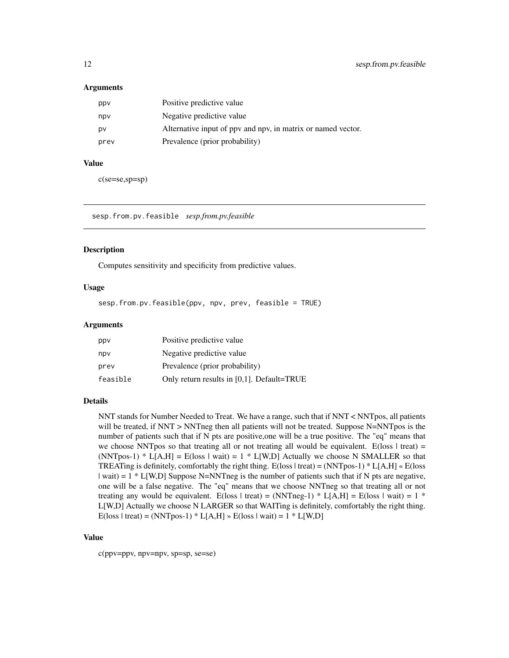#### <span id="page-11-0"></span>Arguments

| ppy  | Positive predictive value                                    |
|------|--------------------------------------------------------------|
| npv  | Negative predictive value                                    |
| p٧   | Alternative input of ppv and npv, in matrix or named vector. |
| prev | Prevalence (prior probability)                               |

#### Value

c(se=se,sp=sp)

sesp.from.pv.feasible *sesp.from.pv.feasible*

#### Description

Computes sensitivity and specificity from predictive values.

#### Usage

sesp.from.pv.feasible(ppv, npv, prev, feasible = TRUE)

#### Arguments

| ppy      | Positive predictive value                  |
|----------|--------------------------------------------|
| npv      | Negative predictive value                  |
| prev     | Prevalence (prior probability)             |
| feasible | Only return results in [0,1]. Default=TRUE |

#### Details

NNT stands for Number Needed to Treat. We have a range, such that if NNT < NNTpos, all patients will be treated, if NNT > NNTneg then all patients will not be treated. Suppose N=NNTpos is the number of patients such that if N pts are positive,one will be a true positive. The "eq" means that we choose NNTpos so that treating all or not treating all would be equivalent. E(loss  $\vert$  treat) = (NNTpos-1) \* L[A,H] = E(loss | wait) = 1 \* L[W,D] Actually we choose N SMALLER so that TREATing is definitely, comfortably the right thing.  $E(\text{loss} | \text{treat}) = (NNTpos-1) * L[A, H] * E(\text{loss} |$  $|\text{wait}| = 1 * L[W, D]$  Suppose N=NNTneg is the number of patients such that if N pts are negative, one will be a false negative. The "eq" means that we choose NNTneg so that treating all or not treating any would be equivalent. E(loss | treat) = (NNTneg-1) \* L[A,H] = E(loss | wait) = 1 \* L[W,D] Actually we choose N LARGER so that WAITing is definitely, comfortably the right thing.  $E(\text{loss} \mid \text{treat}) = (NNTpos-1) * L[A,H] * E(\text{loss} \mid \text{wait}) = 1 * L[W,D]$ 

#### Value

c(ppv=ppv, npv=npv, sp=sp, se=se)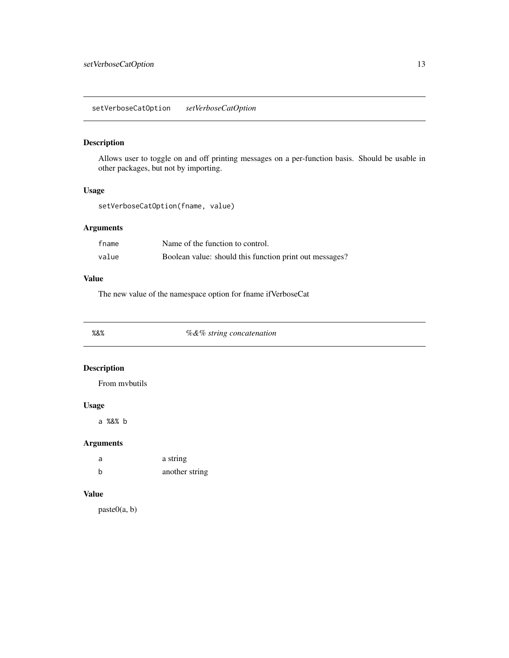#### <span id="page-12-0"></span>Description

Allows user to toggle on and off printing messages on a per-function basis. Should be usable in other packages, but not by importing.

#### Usage

setVerboseCatOption(fname, value)

#### Arguments

| fname | Name of the function to control.                        |
|-------|---------------------------------------------------------|
| value | Boolean value: should this function print out messages? |

#### Value

The new value of the namespace option for fname ifVerboseCat

%&% *%&% string concatenation*

#### Description

From mvbutils

#### Usage

a %&% b

#### Arguments

| a   | a string       |
|-----|----------------|
| - b | another string |

#### Value

paste0(a, b)